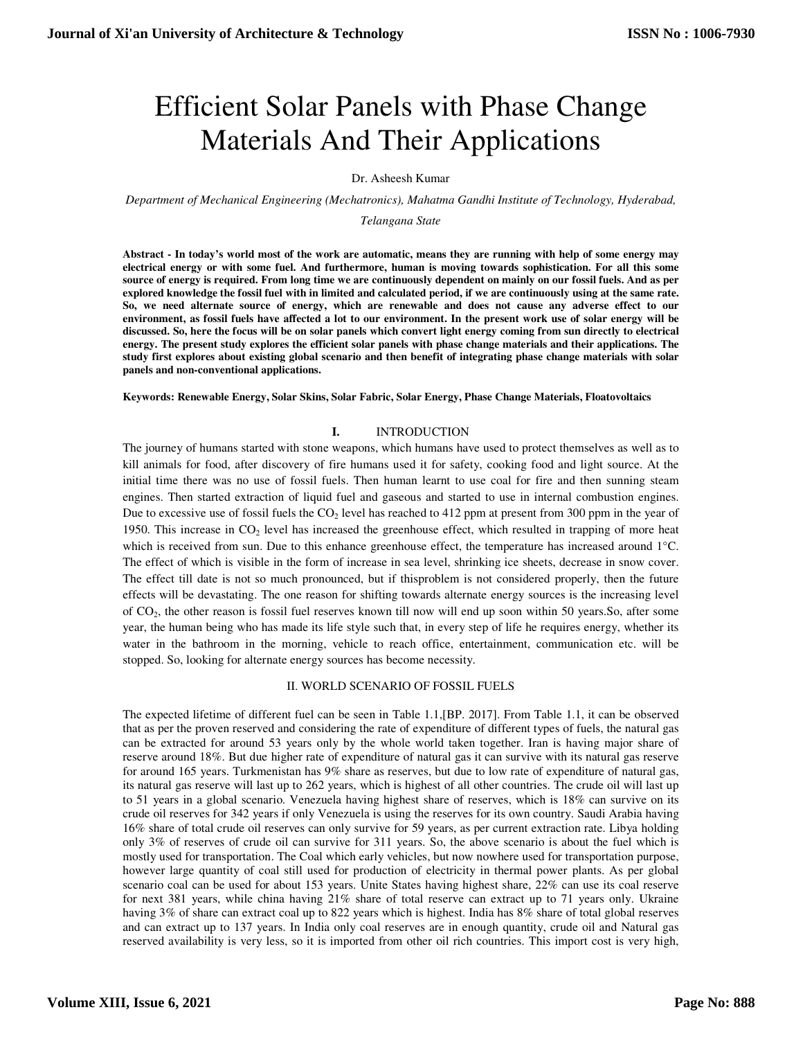# Efficient Solar Panels with Phase Change Materials And Their Applications

Dr. Asheesh Kumar

*Department of Mechanical Engineering (Mechatronics), Mahatma Gandhi Institute of Technology, Hyderabad,* 

*Telangana State* 

**Abstract - In today's world most of the work are automatic, means they are running with help of some energy may electrical energy or with some fuel. And furthermore, human is moving towards sophistication. For all this some source of energy is required. From long time we are continuously dependent on mainly on our fossil fuels. And as per explored knowledge the fossil fuel with in limited and calculated period, if we are continuously using at the same rate. So, we need alternate source of energy, which are renewable and does not cause any adverse effect to our environment, as fossil fuels have affected a lot to our environment. In the present work use of solar energy will be discussed. So, here the focus will be on solar panels which convert light energy coming from sun directly to electrical energy. The present study explores the efficient solar panels with phase change materials and their applications. The study first explores about existing global scenario and then benefit of integrating phase change materials with solar panels and non-conventional applications.** 

**Keywords: Renewable Energy, Solar Skins, Solar Fabric, Solar Energy, Phase Change Materials, Floatovoltaics** 

## **I.** INTRODUCTION

The journey of humans started with stone weapons, which humans have used to protect themselves as well as to kill animals for food, after discovery of fire humans used it for safety, cooking food and light source. At the initial time there was no use of fossil fuels. Then human learnt to use coal for fire and then sunning steam engines. Then started extraction of liquid fuel and gaseous and started to use in internal combustion engines. Due to excessive use of fossil fuels the  $CO<sub>2</sub>$  level has reached to 412 ppm at present from 300 ppm in the year of 1950. This increase in  $CO<sub>2</sub>$  level has increased the greenhouse effect, which resulted in trapping of more heat which is received from sun. Due to this enhance greenhouse effect, the temperature has increased around 1°C. The effect of which is visible in the form of increase in sea level, shrinking ice sheets, decrease in snow cover. The effect till date is not so much pronounced, but if thisproblem is not considered properly, then the future effects will be devastating. The one reason for shifting towards alternate energy sources is the increasing level of CO2, the other reason is fossil fuel reserves known till now will end up soon within 50 years.So, after some year, the human being who has made its life style such that, in every step of life he requires energy, whether its water in the bathroom in the morning, vehicle to reach office, entertainment, communication etc. will be stopped. So, looking for alternate energy sources has become necessity.

## II. WORLD SCENARIO OF FOSSIL FUELS

The expected lifetime of different fuel can be seen in Table 1.1,[BP. 2017]. From Table 1.1, it can be observed that as per the proven reserved and considering the rate of expenditure of different types of fuels, the natural gas can be extracted for around 53 years only by the whole world taken together. Iran is having major share of reserve around 18%. But due higher rate of expenditure of natural gas it can survive with its natural gas reserve for around 165 years. Turkmenistan has 9% share as reserves, but due to low rate of expenditure of natural gas, its natural gas reserve will last up to 262 years, which is highest of all other countries. The crude oil will last up to 51 years in a global scenario. Venezuela having highest share of reserves, which is 18% can survive on its crude oil reserves for 342 years if only Venezuela is using the reserves for its own country. Saudi Arabia having 16% share of total crude oil reserves can only survive for 59 years, as per current extraction rate. Libya holding only 3% of reserves of crude oil can survive for 311 years. So, the above scenario is about the fuel which is mostly used for transportation. The Coal which early vehicles, but now nowhere used for transportation purpose, however large quantity of coal still used for production of electricity in thermal power plants. As per global scenario coal can be used for about 153 years. Unite States having highest share, 22% can use its coal reserve for next 381 years, while china having 21% share of total reserve can extract up to 71 years only. Ukraine having 3% of share can extract coal up to 822 years which is highest. India has 8% share of total global reserves and can extract up to 137 years. In India only coal reserves are in enough quantity, crude oil and Natural gas reserved availability is very less, so it is imported from other oil rich countries. This import cost is very high,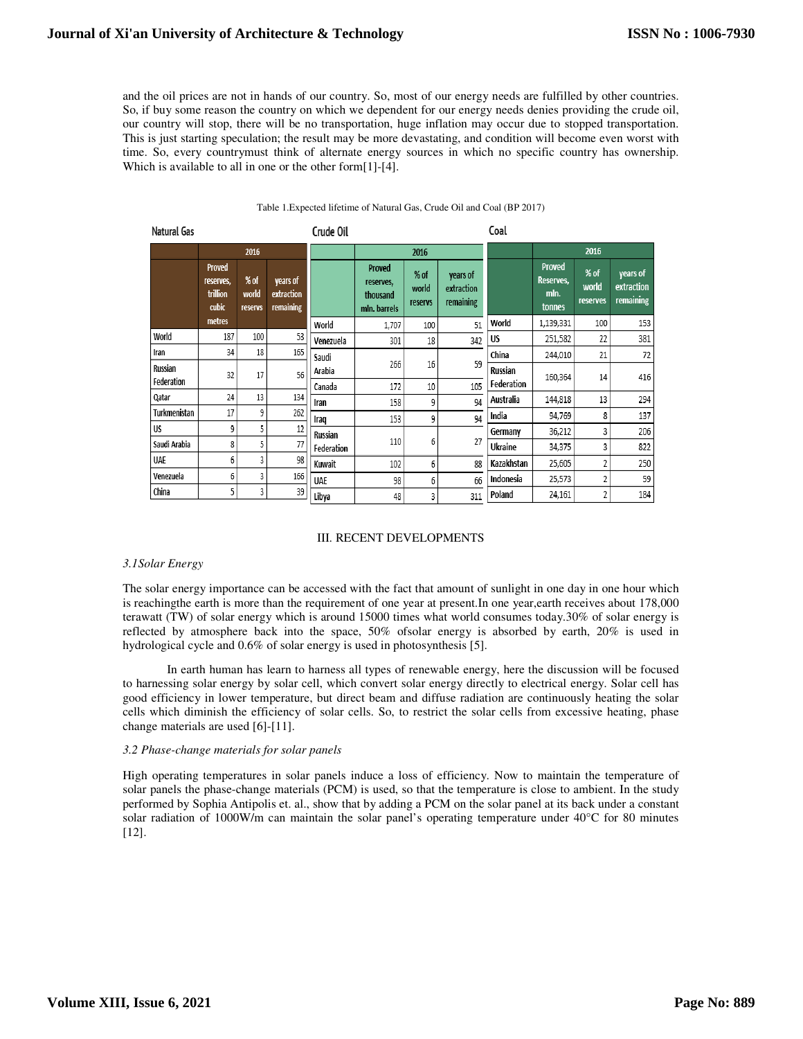and the oil prices are not in hands of our country. So, most of our energy needs are fulfilled by other countries. So, if buy some reason the country on which we dependent for our energy needs denies providing the crude oil, our country will stop, there will be no transportation, huge inflation may occur due to stopped transportation. This is just starting speculation; the result may be more devastating, and condition will become even worst with time. So, every countrymust think of alternate energy sources in which no specific country has ownership. Which is available to all in one or the other form[1]-[4].

| <b>Natural Gas</b> |                                                 |                          |                                     | Crude Oil  |                                                 |                          |                                     | Coal       |                                              |                           |                                     |
|--------------------|-------------------------------------------------|--------------------------|-------------------------------------|------------|-------------------------------------------------|--------------------------|-------------------------------------|------------|----------------------------------------------|---------------------------|-------------------------------------|
|                    |                                                 | 2016                     |                                     |            | 2016                                            |                          |                                     |            | 2016                                         |                           |                                     |
|                    | <b>Proved</b><br>reserves,<br>trillion<br>cubic | % of<br>world<br>reservs | years of<br>extraction<br>remaining |            | Proved<br>reserves,<br>thousand<br>mln. barrels | % of<br>world<br>reservs | years of<br>extraction<br>remaining |            | <b>Proved</b><br>Reserves,<br>mln.<br>tonnes | % of<br>world<br>reserves | years of<br>extraction<br>remaining |
|                    | metres                                          |                          |                                     | World      | 1,707                                           | 100                      | 51                                  | World      | 1,139,331                                    | 100                       | 153                                 |
| World              | 187                                             | 100                      | 53                                  | Venezuela  | 301                                             | 18                       | 342                                 | US         | 251,582                                      | 22                        | 381                                 |
| Iran               | 34                                              | 18                       | 165                                 | Saudi      |                                                 |                          |                                     | China      | 244,010                                      | 21                        | 72                                  |
| Russian            | 32                                              | 17                       | 56                                  | Arabia     | 266                                             | 16                       | 59                                  | Russian    | 160,364                                      | 14                        | 416                                 |
| Federation         |                                                 |                          |                                     | Canada     | 172                                             | 10                       | 105                                 | Federation |                                              |                           |                                     |
| Qatar              | 24                                              | 13                       | 134                                 | Iran       | 158                                             | 9                        | 94                                  | Australia  | 144,818                                      | 13                        | 294                                 |
| Turkmenistan       | 17                                              | 9                        | 262                                 | Iraq       | 153                                             | 9                        | 94                                  | India      | 94,769                                       | 8                         | 137                                 |
| <b>US</b>          | 9                                               | 5                        | 12                                  | Russian    |                                                 |                          |                                     | Germany    | 36,212                                       | 3                         | 206                                 |
| Saudi Arabia       | 8                                               | 5                        | 77                                  | Federation | 110                                             | 6                        | 27                                  | Ukraine    | 34,375                                       | 3                         | 822                                 |
| <b>UAE</b>         | 6                                               | 3                        | 98                                  | Kuwait     | 102                                             | 6                        | 88                                  | Kazakhstan | 25,605                                       | 2                         | 250                                 |
| Venezuela          | 6                                               | 3                        | 166                                 | UAE        | 98                                              | 6                        | 66                                  | Indonesia  | 25,573                                       | 2                         | 59                                  |
| China              | 5                                               | 3                        | 39                                  | Libya      | 48                                              | 3                        | 311                                 | Poland     | 24,161                                       | 2                         | 184                                 |

#### Table 1.Expected lifetime of Natural Gas, Crude Oil and Coal (BP 2017)

## III. RECENT DEVELOPMENTS

## *3.1Solar Energy*

The solar energy importance can be accessed with the fact that amount of sunlight in one day in one hour which is reachingthe earth is more than the requirement of one year at present.In one year,earth receives about 178,000 terawatt (TW) of solar energy which is around 15000 times what world consumes today.30% of solar energy is reflected by atmosphere back into the space, 50% ofsolar energy is absorbed by earth, 20% is used in hydrological cycle and 0.6% of solar energy is used in photosynthesis [5].

In earth human has learn to harness all types of renewable energy, here the discussion will be focused to harnessing solar energy by solar cell, which convert solar energy directly to electrical energy. Solar cell has good efficiency in lower temperature, but direct beam and diffuse radiation are continuously heating the solar cells which diminish the efficiency of solar cells. So, to restrict the solar cells from excessive heating, phase change materials are used [6]-[11].

## *3.2 Phase-change materials for solar panels*

High operating temperatures in solar panels induce a loss of efficiency. Now to maintain the temperature of solar panels the phase-change materials (PCM) is used, so that the temperature is close to ambient. In the study performed by Sophia Antipolis et. al., show that by adding a PCM on the solar panel at its back under a constant solar radiation of 1000W/m can maintain the solar panel's operating temperature under 40°C for 80 minutes [12].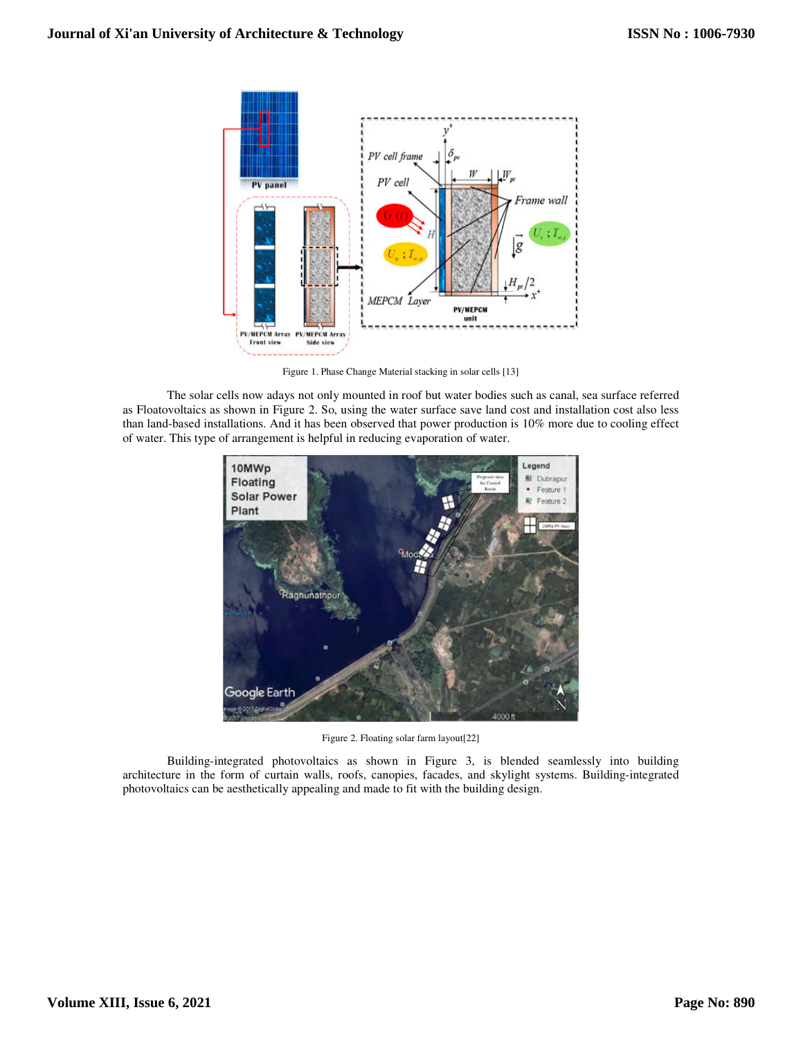

Figure 1. Phase Change Material stacking in solar cells [13]

The solar cells now adays not only mounted in roof but water bodies such as canal, sea surface referred as Floatovoltaics as shown in Figure 2. So, using the water surface save land cost and installation cost also less than land-based installations. And it has been observed that power production is 10% more due to cooling effect of water. This type of arrangement is helpful in reducing evaporation of water.



Figure 2. Floating solar farm layout[22]

Building-integrated photovoltaics as shown in Figure 3, is blended seamlessly into building architecture in the form of curtain walls, roofs, canopies, facades, and skylight systems. Building-integrated photovoltaics can be aesthetically appealing and made to fit with the building design.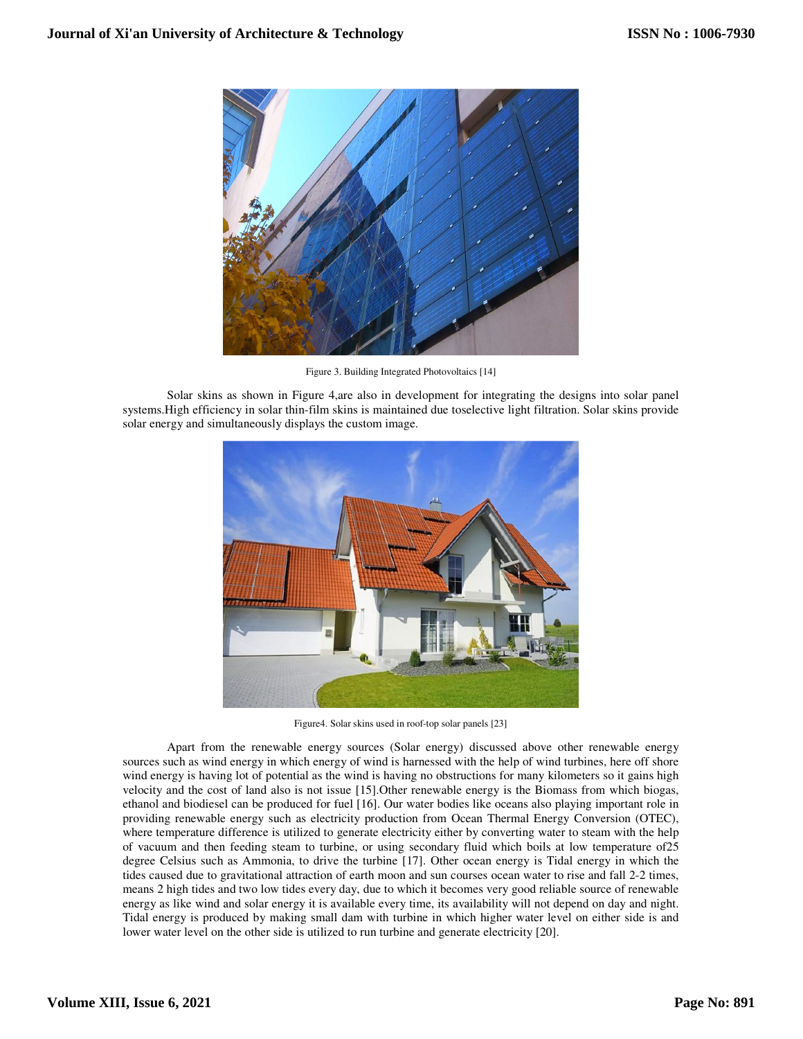

Figure 3. Building Integrated Photovoltaics [14]

Solar skins as shown in Figure 4,are also in development for integrating the designs into solar panel systems.High efficiency in solar thin-film skins is maintained due toselective light filtration. Solar skins provide solar energy and simultaneously displays the custom image.



Figure4. Solar skins used in roof-top solar panels [23]

Apart from the renewable energy sources (Solar energy) discussed above other renewable energy sources such as wind energy in which energy of wind is harnessed with the help of wind turbines, here off shore wind energy is having lot of potential as the wind is having no obstructions for many kilometers so it gains high velocity and the cost of land also is not issue [15].Other renewable energy is the Biomass from which biogas, ethanol and biodiesel can be produced for fuel [16]. Our water bodies like oceans also playing important role in providing renewable energy such as electricity production from Ocean Thermal Energy Conversion (OTEC), where temperature difference is utilized to generate electricity either by converting water to steam with the help of vacuum and then feeding steam to turbine, or using secondary fluid which boils at low temperature of25 degree Celsius such as Ammonia, to drive the turbine [17]. Other ocean energy is Tidal energy in which the tides caused due to gravitational attraction of earth moon and sun courses ocean water to rise and fall 2-2 times, means 2 high tides and two low tides every day, due to which it becomes very good reliable source of renewable energy as like wind and solar energy it is available every time, its availability will not depend on day and night. Tidal energy is produced by making small dam with turbine in which higher water level on either side is and lower water level on the other side is utilized to run turbine and generate electricity [20].